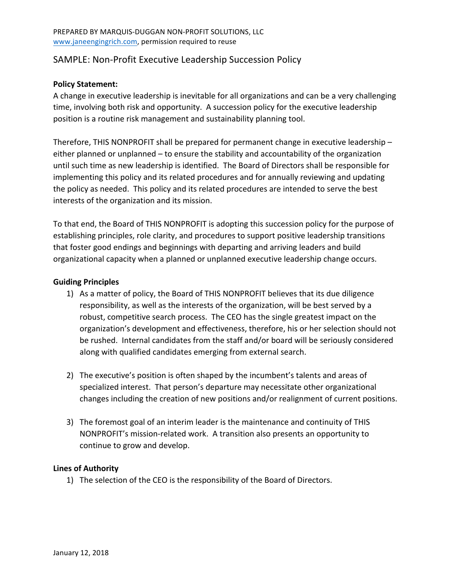# SAMPLE: Non-Profit Executive Leadership Succession Policy

#### **Policy Statement:**

A change in executive leadership is inevitable for all organizations and can be a very challenging time, involving both risk and opportunity. A succession policy for the executive leadership position is a routine risk management and sustainability planning tool.

Therefore, THIS NONPROFIT shall be prepared for permanent change in executive leadership  $$ either planned or unplanned – to ensure the stability and accountability of the organization until such time as new leadership is identified. The Board of Directors shall be responsible for implementing this policy and its related procedures and for annually reviewing and updating the policy as needed. This policy and its related procedures are intended to serve the best interests of the organization and its mission.

To that end, the Board of THIS NONPROFIT is adopting this succession policy for the purpose of establishing principles, role clarity, and procedures to support positive leadership transitions that foster good endings and beginnings with departing and arriving leaders and build organizational capacity when a planned or unplanned executive leadership change occurs.

#### **Guiding Principles**

- 1) As a matter of policy, the Board of THIS NONPROFIT believes that its due diligence responsibility, as well as the interests of the organization, will be best served by a robust, competitive search process. The CEO has the single greatest impact on the organization's development and effectiveness, therefore, his or her selection should not be rushed. Internal candidates from the staff and/or board will be seriously considered along with qualified candidates emerging from external search.
- 2) The executive's position is often shaped by the incumbent's talents and areas of specialized interest. That person's departure may necessitate other organizational changes including the creation of new positions and/or realignment of current positions.
- 3) The foremost goal of an interim leader is the maintenance and continuity of THIS NONPROFIT's mission-related work. A transition also presents an opportunity to continue to grow and develop.

#### **Lines of Authority**

1) The selection of the CEO is the responsibility of the Board of Directors.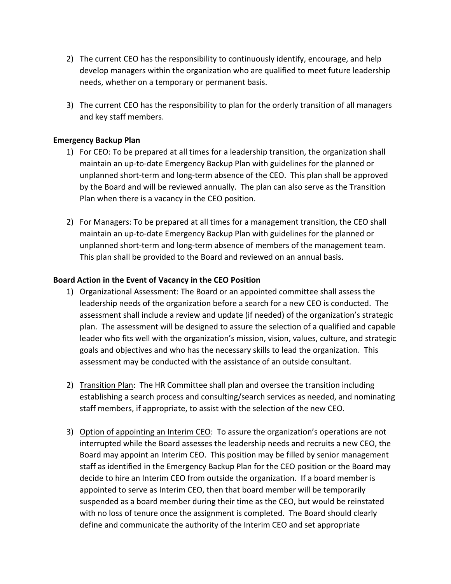- 2) The current CEO has the responsibility to continuously identify, encourage, and help develop managers within the organization who are qualified to meet future leadership needs, whether on a temporary or permanent basis.
- 3) The current CEO has the responsibility to plan for the orderly transition of all managers and key staff members.

### **Emergency Backup Plan**

- 1) For CEO: To be prepared at all times for a leadership transition, the organization shall maintain an up-to-date Emergency Backup Plan with guidelines for the planned or unplanned short-term and long-term absence of the CEO. This plan shall be approved by the Board and will be reviewed annually. The plan can also serve as the Transition Plan when there is a vacancy in the CEO position.
- 2) For Managers: To be prepared at all times for a management transition, the CEO shall maintain an up-to-date Emergency Backup Plan with guidelines for the planned or unplanned short-term and long-term absence of members of the management team. This plan shall be provided to the Board and reviewed on an annual basis.

### Board Action in the Event of Vacancy in the CEO Position

- 1) Organizational Assessment: The Board or an appointed committee shall assess the leadership needs of the organization before a search for a new CEO is conducted. The assessment shall include a review and update (if needed) of the organization's strategic plan. The assessment will be designed to assure the selection of a qualified and capable leader who fits well with the organization's mission, vision, values, culture, and strategic goals and objectives and who has the necessary skills to lead the organization. This assessment may be conducted with the assistance of an outside consultant.
- 2) Transition Plan: The HR Committee shall plan and oversee the transition including establishing a search process and consulting/search services as needed, and nominating staff members, if appropriate, to assist with the selection of the new CEO.
- 3) Option of appointing an Interim CEO: To assure the organization's operations are not interrupted while the Board assesses the leadership needs and recruits a new CEO, the Board may appoint an Interim CEO. This position may be filled by senior management staff as identified in the Emergency Backup Plan for the CEO position or the Board may decide to hire an Interim CEO from outside the organization. If a board member is appointed to serve as Interim CEO, then that board member will be temporarily suspended as a board member during their time as the CEO, but would be reinstated with no loss of tenure once the assignment is completed. The Board should clearly define and communicate the authority of the Interim CEO and set appropriate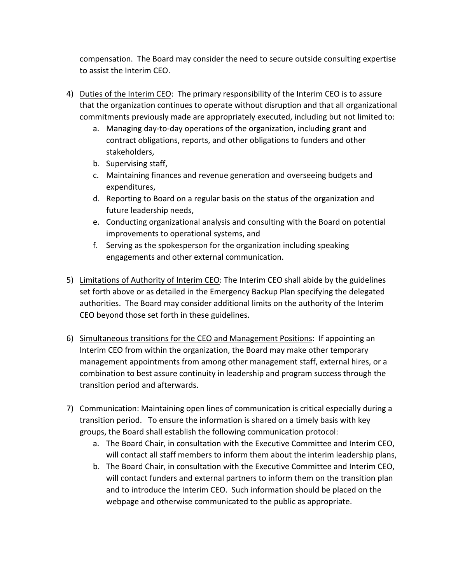compensation. The Board may consider the need to secure outside consulting expertise to assist the Interim CEO.

- 4) Duties of the Interim CEO: The primary responsibility of the Interim CEO is to assure that the organization continues to operate without disruption and that all organizational commitments previously made are appropriately executed, including but not limited to:
	- a. Managing day-to-day operations of the organization, including grant and contract obligations, reports, and other obligations to funders and other stakeholders,
	- b. Supervising staff,
	- c. Maintaining finances and revenue generation and overseeing budgets and expenditures,
	- d. Reporting to Board on a regular basis on the status of the organization and future leadership needs,
	- e. Conducting organizational analysis and consulting with the Board on potential improvements to operational systems, and
	- f. Serving as the spokesperson for the organization including speaking engagements and other external communication.
- 5) Limitations of Authority of Interim CEO: The Interim CEO shall abide by the guidelines set forth above or as detailed in the Emergency Backup Plan specifying the delegated authorities. The Board may consider additional limits on the authority of the Interim CEO beyond those set forth in these guidelines.
- 6) Simultaneous transitions for the CEO and Management Positions: If appointing an Interim CEO from within the organization, the Board may make other temporary management appointments from among other management staff, external hires, or a combination to best assure continuity in leadership and program success through the transition period and afterwards.
- 7) Communication: Maintaining open lines of communication is critical especially during a transition period. To ensure the information is shared on a timely basis with key groups, the Board shall establish the following communication protocol:
	- a. The Board Chair, in consultation with the Executive Committee and Interim CEO, will contact all staff members to inform them about the interim leadership plans,
	- b. The Board Chair, in consultation with the Executive Committee and Interim CEO, will contact funders and external partners to inform them on the transition plan and to introduce the Interim CEO. Such information should be placed on the webpage and otherwise communicated to the public as appropriate.